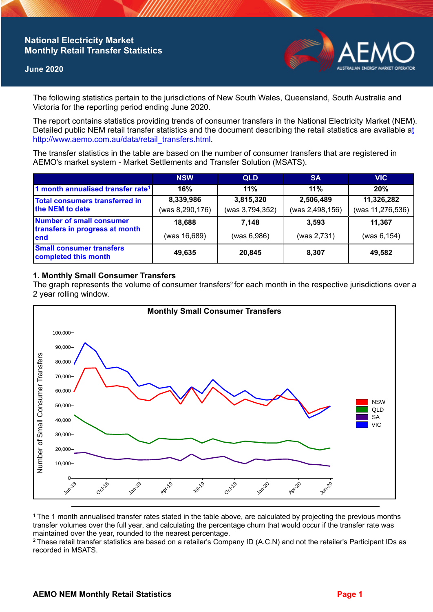# **National Electricity Market Monthly Retail Transfer Statistics**

### **June 2020**



The following statistics pertain to the jurisdictions of New South Wales, Queensland, South Australia and Victoria for the reporting period ending June 2020.

The report contains statistics providing trends of consumer transfers in the National Electricity Market (NEM). Detailed public NEM retail transfer statistics and the document describing the retail statistics are available a[t](http://www.aemo.com.au/data/retail_transfers.html)  http://www.aemo.com.au/data/retail\_transfers.html

The transfer statistics in the table are based on the number of consumer transfers that are registered in AEMO's market system - Market Settlements and Transfer Solution (MSATS).

|                                                                    | <b>NSW</b>      | <b>QLD</b>      | <b>SA</b>       | <b>VIC</b>       |
|--------------------------------------------------------------------|-----------------|-----------------|-----------------|------------------|
| 1 month annualised transfer rate <sup>1</sup>                      | 16%             | 11%             | 11%             | 20%              |
| <b>Total consumers transferred in</b><br>the NEM to date           | 8,339,986       | 3,815,320       | 2,506,489       | 11,326,282       |
|                                                                    | (was 8,290,176) | (was 3,794,352) | (was 2,498,156) | (was 11,276,536) |
| Number of small consumer<br>transfers in progress at month<br>lend | 18,688          | 7.148           | 3.593           | 11.367           |
|                                                                    | (was 16,689)    | (was 6,986)     | (was 2,731)     | (was 6, 154)     |
| <b>Small consumer transfers</b><br>completed this month            | 49,635          | 20,845          | 8,307           | 49,582           |

## **1. Monthly Small Consumer Transfers**

The graph represents the volume of consumer transfers<sup>2</sup> for each month in the respective jurisdictions over a 2 year rolling window.



<sup>1</sup> The 1 month annualised transfer rates stated in the table above, are calculated by projecting the previous months transfer volumes over the full year, and calculating the percentage churn that would occur if the transfer rate was maintained over the year, rounded to the nearest percentage.

<sup>2</sup> These retail transfer statistics are based on a retailer's Company ID (A.C.N) and not the retailer's Participant IDs as recorded in MSATS.